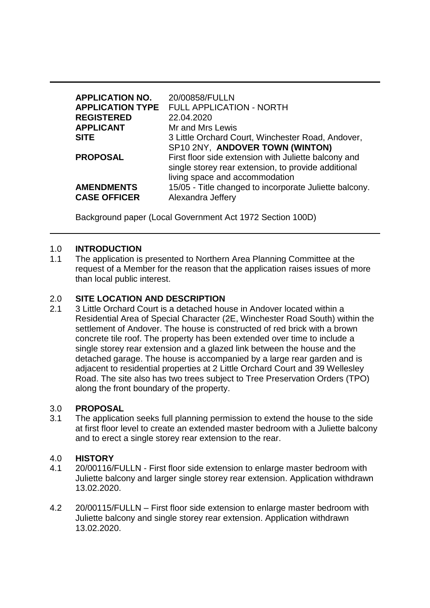| <b>APPLICATION NO.</b><br><b>APPLICATION TYPE</b> | 20/00858/FULLN<br><b>FULL APPLICATION - NORTH</b>                                                                                             |
|---------------------------------------------------|-----------------------------------------------------------------------------------------------------------------------------------------------|
| <b>REGISTERED</b>                                 | 22.04.2020                                                                                                                                    |
| <b>APPLICANT</b>                                  | Mr and Mrs Lewis                                                                                                                              |
| <b>SITE</b>                                       | 3 Little Orchard Court, Winchester Road, Andover,<br>SP10 2NY, ANDOVER TOWN (WINTON)                                                          |
| <b>PROPOSAL</b>                                   | First floor side extension with Juliette balcony and<br>single storey rear extension, to provide additional<br>living space and accommodation |
| <b>AMENDMENTS</b><br><b>CASE OFFICER</b>          | 15/05 - Title changed to incorporate Juliette balcony.<br>Alexandra Jeffery                                                                   |

Background paper (Local Government Act 1972 Section 100D)

#### 1.0 **INTRODUCTION**

1.1 The application is presented to Northern Area Planning Committee at the request of a Member for the reason that the application raises issues of more than local public interest.

### 2.0 **SITE LOCATION AND DESCRIPTION**

2.1 3 Little Orchard Court is a detached house in Andover located within a Residential Area of Special Character (2E, Winchester Road South) within the settlement of Andover. The house is constructed of red brick with a brown concrete tile roof. The property has been extended over time to include a single storey rear extension and a glazed link between the house and the detached garage. The house is accompanied by a large rear garden and is adjacent to residential properties at 2 Little Orchard Court and 39 Wellesley Road. The site also has two trees subject to Tree Preservation Orders (TPO) along the front boundary of the property.

#### 3.0 **PROPOSAL**

3.1 The application seeks full planning permission to extend the house to the side at first floor level to create an extended master bedroom with a Juliette balcony and to erect a single storey rear extension to the rear.

#### 4.0 **HISTORY**

- 4.1 20/00116/FULLN First floor side extension to enlarge master bedroom with Juliette balcony and larger single storey rear extension. Application withdrawn 13.02.2020.
- 4.2 20/00115/FULLN First floor side extension to enlarge master bedroom with Juliette balcony and single storey rear extension. Application withdrawn 13.02.2020.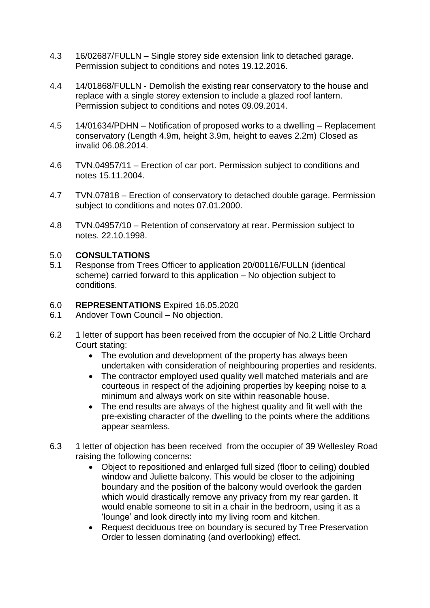- 4.3 16/02687/FULLN Single storey side extension link to detached garage. Permission subject to conditions and notes 19.12.2016.
- 4.4 14/01868/FULLN Demolish the existing rear conservatory to the house and replace with a single storey extension to include a glazed roof lantern. Permission subject to conditions and notes 09.09.2014.
- 4.5 14/01634/PDHN Notification of proposed works to a dwelling Replacement conservatory (Length 4.9m, height 3.9m, height to eaves 2.2m) Closed as invalid 06.08.2014.
- 4.6 TVN.04957/11 Erection of car port. Permission subject to conditions and notes 15.11.2004.
- 4.7 TVN.07818 Erection of conservatory to detached double garage. Permission subject to conditions and notes 07.01.2000.
- 4.8 TVN.04957/10 Retention of conservatory at rear. Permission subject to notes. 22.10.1998.

#### 5.0 **CONSULTATIONS**

5.1 Response from Trees Officer to application 20/00116/FULLN (identical scheme) carried forward to this application – No objection subject to conditions.

### 6.0 **REPRESENTATIONS** Expired 16.05.2020

- 6.1 Andover Town Council No objection.
- 6.2 1 letter of support has been received from the occupier of No.2 Little Orchard Court stating:
	- The evolution and development of the property has always been undertaken with consideration of neighbouring properties and residents.
	- The contractor employed used quality well matched materials and are courteous in respect of the adjoining properties by keeping noise to a minimum and always work on site within reasonable house.
	- The end results are always of the highest quality and fit well with the pre-existing character of the dwelling to the points where the additions appear seamless.
- 6.3 1 letter of objection has been received from the occupier of 39 Wellesley Road raising the following concerns:
	- Object to repositioned and enlarged full sized (floor to ceiling) doubled window and Juliette balcony. This would be closer to the adjoining boundary and the position of the balcony would overlook the garden which would drastically remove any privacy from my rear garden. It would enable someone to sit in a chair in the bedroom, using it as a 'lounge' and look directly into my living room and kitchen.
	- Request deciduous tree on boundary is secured by Tree Preservation Order to lessen dominating (and overlooking) effect.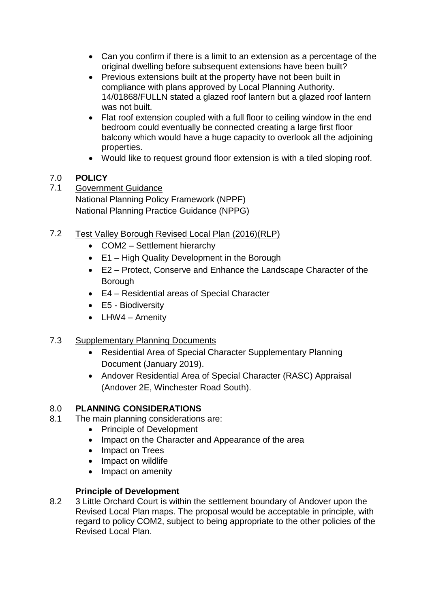- Can you confirm if there is a limit to an extension as a percentage of the original dwelling before subsequent extensions have been built?
- Previous extensions built at the property have not been built in compliance with plans approved by Local Planning Authority. 14/01868/FULLN stated a glazed roof lantern but a glazed roof lantern was not built.
- Flat roof extension coupled with a full floor to ceiling window in the end bedroom could eventually be connected creating a large first floor balcony which would have a huge capacity to overlook all the adjoining properties.
- Would like to request ground floor extension is with a tiled sloping roof.

# 7.0 **POLICY**

- 7.1 Government Guidance National Planning Policy Framework (NPPF) National Planning Practice Guidance (NPPG)
- 7.2 Test Valley Borough Revised Local Plan (2016)(RLP)
	- COM2 Settlement hierarchy
	- E1 High Quality Development in the Borough
	- E2 Protect, Conserve and Enhance the Landscape Character of the Borough
	- E4 Residential areas of Special Character
	- E5 Biodiversity
	- LHW4 Amenity

# 7.3 Supplementary Planning Documents

- Residential Area of Special Character Supplementary Planning Document (January 2019).
- Andover Residential Area of Special Character (RASC) Appraisal (Andover 2E, Winchester Road South).

# 8.0 **PLANNING CONSIDERATIONS**

- 8.1 The main planning considerations are:
	- Principle of Development
	- Impact on the Character and Appearance of the area
	- Impact on Trees
	- Impact on wildlife
	- Impact on amenity

# **Principle of Development**

8.2 3 Little Orchard Court is within the settlement boundary of Andover upon the Revised Local Plan maps. The proposal would be acceptable in principle, with regard to policy COM2, subject to being appropriate to the other policies of the Revised Local Plan.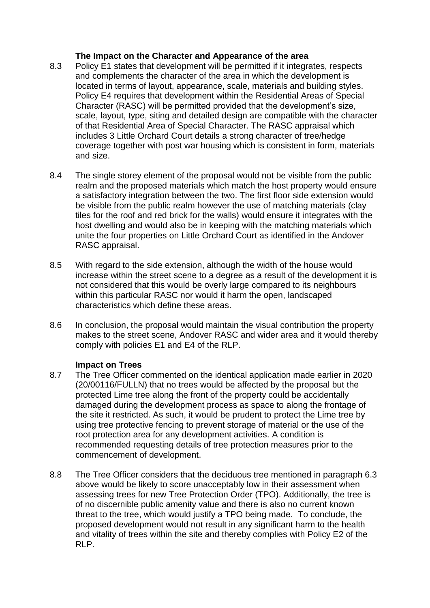### **The Impact on the Character and Appearance of the area**

- 8.3 Policy E1 states that development will be permitted if it integrates, respects and complements the character of the area in which the development is located in terms of layout, appearance, scale, materials and building styles. Policy E4 requires that development within the Residential Areas of Special Character (RASC) will be permitted provided that the development's size, scale, layout, type, siting and detailed design are compatible with the character of that Residential Area of Special Character. The RASC appraisal which includes 3 Little Orchard Court details a strong character of tree/hedge coverage together with post war housing which is consistent in form, materials and size.
- 8.4 The single storey element of the proposal would not be visible from the public realm and the proposed materials which match the host property would ensure a satisfactory integration between the two. The first floor side extension would be visible from the public realm however the use of matching materials (clay tiles for the roof and red brick for the walls) would ensure it integrates with the host dwelling and would also be in keeping with the matching materials which unite the four properties on Little Orchard Court as identified in the Andover RASC appraisal.
- 8.5 With regard to the side extension, although the width of the house would increase within the street scene to a degree as a result of the development it is not considered that this would be overly large compared to its neighbours within this particular RASC nor would it harm the open, landscaped characteristics which define these areas.
- 8.6 In conclusion, the proposal would maintain the visual contribution the property makes to the street scene, Andover RASC and wider area and it would thereby comply with policies E1 and E4 of the RLP.

# **Impact on Trees**

- 8.7 The Tree Officer commented on the identical application made earlier in 2020 (20/00116/FULLN) that no trees would be affected by the proposal but the protected Lime tree along the front of the property could be accidentally damaged during the development process as space to along the frontage of the site it restricted. As such, it would be prudent to protect the Lime tree by using tree protective fencing to prevent storage of material or the use of the root protection area for any development activities. A condition is recommended requesting details of tree protection measures prior to the commencement of development.
- 8.8 The Tree Officer considers that the deciduous tree mentioned in paragraph 6.3 above would be likely to score unacceptably low in their assessment when assessing trees for new Tree Protection Order (TPO). Additionally, the tree is of no discernible public amenity value and there is also no current known threat to the tree, which would justify a TPO being made. To conclude, the proposed development would not result in any significant harm to the health and vitality of trees within the site and thereby complies with Policy E2 of the RLP.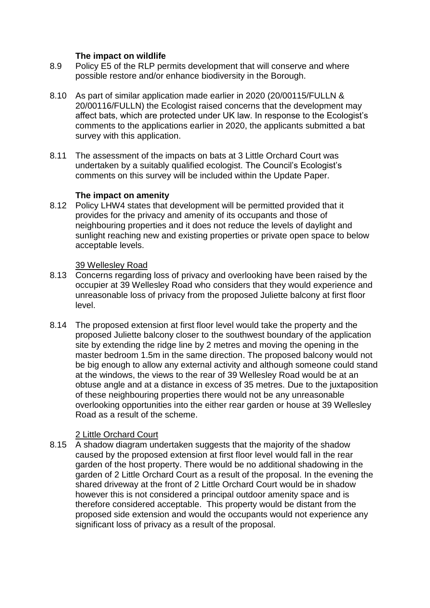### **The impact on wildlife**

- 8.9 Policy E5 of the RLP permits development that will conserve and where possible restore and/or enhance biodiversity in the Borough.
- 8.10 As part of similar application made earlier in 2020 (20/00115/FULLN & 20/00116/FULLN) the Ecologist raised concerns that the development may affect bats, which are protected under UK law. In response to the Ecologist's comments to the applications earlier in 2020, the applicants submitted a bat survey with this application.
- 8.11 The assessment of the impacts on bats at 3 Little Orchard Court was undertaken by a suitably qualified ecologist. The Council's Ecologist's comments on this survey will be included within the Update Paper.

#### **The impact on amenity**

8.12 Policy LHW4 states that development will be permitted provided that it provides for the privacy and amenity of its occupants and those of neighbouring properties and it does not reduce the levels of daylight and sunlight reaching new and existing properties or private open space to below acceptable levels.

#### 39 Wellesley Road

- 8.13 Concerns regarding loss of privacy and overlooking have been raised by the occupier at 39 Wellesley Road who considers that they would experience and unreasonable loss of privacy from the proposed Juliette balcony at first floor level.
- 8.14 The proposed extension at first floor level would take the property and the proposed Juliette balcony closer to the southwest boundary of the application site by extending the ridge line by 2 metres and moving the opening in the master bedroom 1.5m in the same direction. The proposed balcony would not be big enough to allow any external activity and although someone could stand at the windows, the views to the rear of 39 Wellesley Road would be at an obtuse angle and at a distance in excess of 35 metres. Due to the juxtaposition of these neighbouring properties there would not be any unreasonable overlooking opportunities into the either rear garden or house at 39 Wellesley Road as a result of the scheme.

# 2 Little Orchard Court

8.15 A shadow diagram undertaken suggests that the majority of the shadow caused by the proposed extension at first floor level would fall in the rear garden of the host property. There would be no additional shadowing in the garden of 2 Little Orchard Court as a result of the proposal. In the evening the shared driveway at the front of 2 Little Orchard Court would be in shadow however this is not considered a principal outdoor amenity space and is therefore considered acceptable. This property would be distant from the proposed side extension and would the occupants would not experience any significant loss of privacy as a result of the proposal.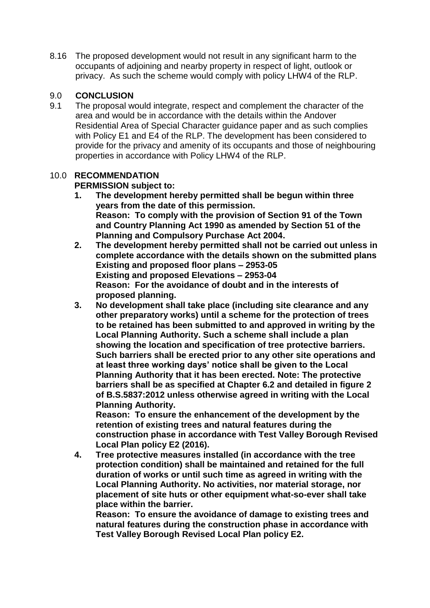8.16 The proposed development would not result in any significant harm to the occupants of adjoining and nearby property in respect of light, outlook or privacy. As such the scheme would comply with policy LHW4 of the RLP.

# 9.0 **CONCLUSION**

9.1 The proposal would integrate, respect and complement the character of the area and would be in accordance with the details within the Andover Residential Area of Special Character guidance paper and as such complies with Policy E1 and E4 of the RLP. The development has been considered to provide for the privacy and amenity of its occupants and those of neighbouring properties in accordance with Policy LHW4 of the RLP.

#### 10.0 **RECOMMENDATION PERMISSION subject to:**

- **1. The development hereby permitted shall be begun within three years from the date of this permission. Reason: To comply with the provision of Section 91 of the Town and Country Planning Act 1990 as amended by Section 51 of the Planning and Compulsory Purchase Act 2004.**
- **2. The development hereby permitted shall not be carried out unless in complete accordance with the details shown on the submitted plans Existing and proposed floor plans – 2953-05 Existing and proposed Elevations – 2953-04 Reason: For the avoidance of doubt and in the interests of proposed planning.**
- **3. No development shall take place (including site clearance and any other preparatory works) until a scheme for the protection of trees to be retained has been submitted to and approved in writing by the Local Planning Authority. Such a scheme shall include a plan showing the location and specification of tree protective barriers. Such barriers shall be erected prior to any other site operations and at least three working days' notice shall be given to the Local Planning Authority that it has been erected. Note: The protective barriers shall be as specified at Chapter 6.2 and detailed in figure 2 of B.S.5837:2012 unless otherwise agreed in writing with the Local Planning Authority.**

**Reason: To ensure the enhancement of the development by the retention of existing trees and natural features during the construction phase in accordance with Test Valley Borough Revised Local Plan policy E2 (2016).**

**4. Tree protective measures installed (in accordance with the tree protection condition) shall be maintained and retained for the full duration of works or until such time as agreed in writing with the Local Planning Authority. No activities, nor material storage, nor placement of site huts or other equipment what-so-ever shall take place within the barrier.**

**Reason: To ensure the avoidance of damage to existing trees and natural features during the construction phase in accordance with Test Valley Borough Revised Local Plan policy E2.**